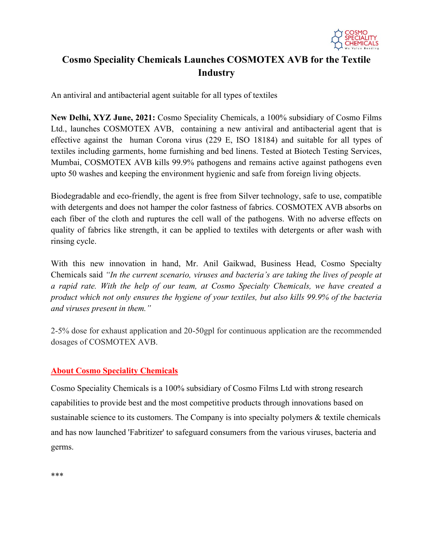

## **Cosmo Speciality Chemicals Launches COSMOTEX AVB for the Textile Industry**

An antiviral and antibacterial agent suitable for all types of textiles

**New Delhi, XYZ June, 2021:** Cosmo Speciality Chemicals, a 100% subsidiary of Cosmo Films Ltd., launches COSMOTEX AVB, containing a new antiviral and antibacterial agent that is effective against the human Corona virus (229 E, ISO 18184) and suitable for all types of textiles including garments, home furnishing and bed linens. Tested at Biotech Testing Services, Mumbai, COSMOTEX AVB kills 99.9% pathogens and remains active against pathogens even upto 50 washes and keeping the environment hygienic and safe from foreign living objects.

Biodegradable and eco-friendly, the agent is free from Silver technology, safe to use, compatible with detergents and does not hamper the color fastness of fabrics. COSMOTEX AVB absorbs on each fiber of the cloth and ruptures the cell wall of the pathogens. With no adverse effects on quality of fabrics like strength, it can be applied to textiles with detergents or after wash with rinsing cycle.

With this new innovation in hand, Mr. Anil Gaikwad, Business Head, Cosmo Specialty Chemicals said *"In the current scenario, viruses and bacteria's are taking the lives of people at a rapid rate. With the help of our team, at Cosmo Specialty Chemicals, we have created a product which not only ensures the hygiene of your textiles, but also kills 99.9% of the bacteria and viruses present in them."* 

2-5% dose for exhaust application and 20-50gpl for continuous application are the recommended dosages of COSMOTEX AVB.

## **About Cosmo Speciality Chemicals**

Cosmo Speciality Chemicals is a 100% subsidiary of Cosmo Films Ltd with strong research capabilities to provide best and the most competitive products through innovations based on sustainable science to its customers. The Company is into specialty polymers & textile chemicals and has now launched 'Fabritizer' to safeguard consumers from the various viruses, bacteria and germs.

\*\*\*